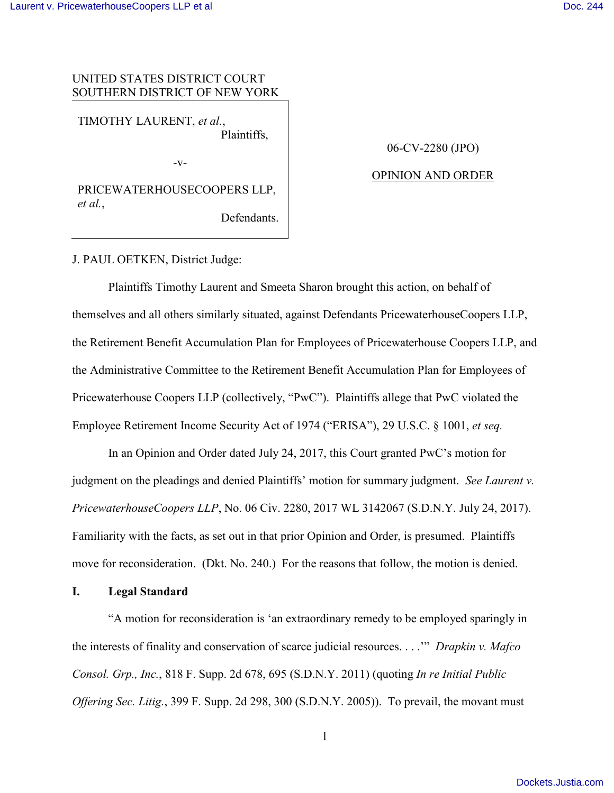## UNITED STATES DISTRICT COURT SOUTHERN DISTRICT OF NEW YORK

TIMOTHY LAURENT, *et al.*, Plaintiffs,

-v-

06-CV-2280 (JPO)

## OPINION AND ORDER

PRICEWATERHOUSECOOPERS LLP, *et al.*, Defendants.

J. PAUL OETKEN, District Judge:

Plaintiffs Timothy Laurent and Smeeta Sharon brought this action, on behalf of themselves and all others similarly situated, against Defendants PricewaterhouseCoopers LLP, the Retirement Benefit Accumulation Plan for Employees of Pricewaterhouse Coopers LLP, and the Administrative Committee to the Retirement Benefit Accumulation Plan for Employees of Pricewaterhouse Coopers LLP (collectively, "PwC"). Plaintiffs allege that PwC violated the Employee Retirement Income Security Act of 1974 ("ERISA"), 29 U.S.C. § 1001, *et seq.*

In an Opinion and Order dated July 24, 2017, this Court granted PwC's motion for judgment on the pleadings and denied Plaintiffs' motion for summary judgment. *See Laurent v. PricewaterhouseCoopers LLP*, No. 06 Civ. 2280, 2017 WL 3142067 (S.D.N.Y. July 24, 2017). Familiarity with the facts, as set out in that prior Opinion and Order, is presumed. Plaintiffs move for reconsideration. (Dkt. No. 240.) For the reasons that follow, the motion is denied.

**I. Legal Standard** 

"A motion for reconsideration is 'an extraordinary remedy to be employed sparingly in the interests of finality and conservation of scarce judicial resources. . . .'" *Drapkin v. Mafco Consol. Grp., Inc.*, 818 F. Supp. 2d 678, 695 (S.D.N.Y. 2011) (quoting *In re Initial Public Offering Sec. Litig.*, 399 F. Supp. 2d 298, 300 (S.D.N.Y. 2005)). To prevail, the movant must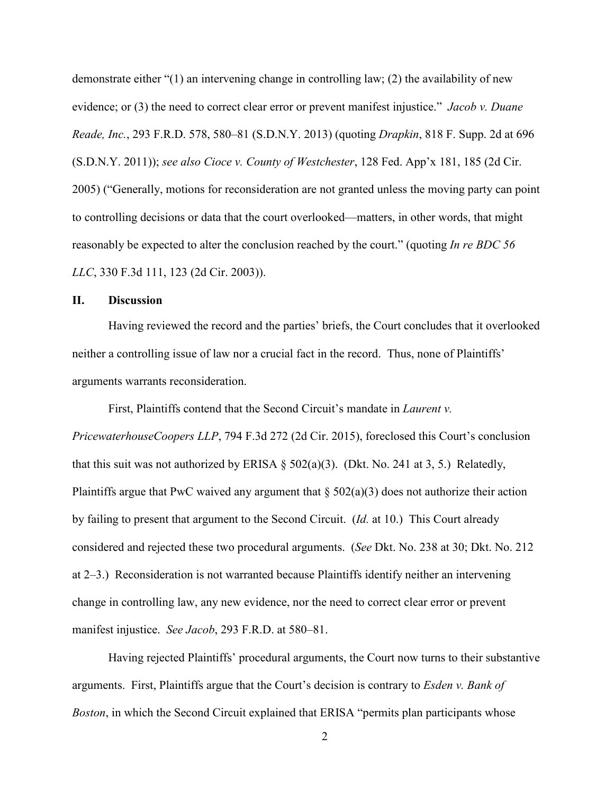demonstrate either "(1) an intervening change in controlling law; (2) the availability of new evidence; or (3) the need to correct clear error or prevent manifest injustice." *Jacob v. Duane Reade, Inc.*, 293 F.R.D. 578, 580–81 (S.D.N.Y. 2013) (quoting *Drapkin*, 818 F. Supp. 2d at 696 (S.D.N.Y. 2011)); *see also Cioce v. County of Westchester*, 128 Fed. App'x 181, 185 (2d Cir. 2005) ("Generally, motions for reconsideration are not granted unless the moving party can point to controlling decisions or data that the court overlooked—matters, in other words, that might reasonably be expected to alter the conclusion reached by the court." (quoting *In re BDC 56 LLC*, 330 F.3d 111, 123 (2d Cir. 2003)).

## **II. Discussion**

Having reviewed the record and the parties' briefs, the Court concludes that it overlooked neither a controlling issue of law nor a crucial fact in the record. Thus, none of Plaintiffs' arguments warrants reconsideration.

First, Plaintiffs contend that the Second Circuit's mandate in *Laurent v. PricewaterhouseCoopers LLP*, 794 F.3d 272 (2d Cir. 2015), foreclosed this Court's conclusion that this suit was not authorized by ERISA  $\S$  502(a)(3). (Dkt. No. 241 at 3, 5.) Relatedly, Plaintiffs argue that PwC waived any argument that  $\S 502(a)(3)$  does not authorize their action by failing to present that argument to the Second Circuit. (*Id.* at 10.) This Court already considered and rejected these two procedural arguments. (*See* Dkt. No. 238 at 30; Dkt. No. 212 at 2–3.) Reconsideration is not warranted because Plaintiffs identify neither an intervening change in controlling law, any new evidence, nor the need to correct clear error or prevent manifest injustice. *See Jacob*, 293 F.R.D. at 580–81.

Having rejected Plaintiffs' procedural arguments, the Court now turns to their substantive arguments. First, Plaintiffs argue that the Court's decision is contrary to *Esden v. Bank of Boston*, in which the Second Circuit explained that ERISA "permits plan participants whose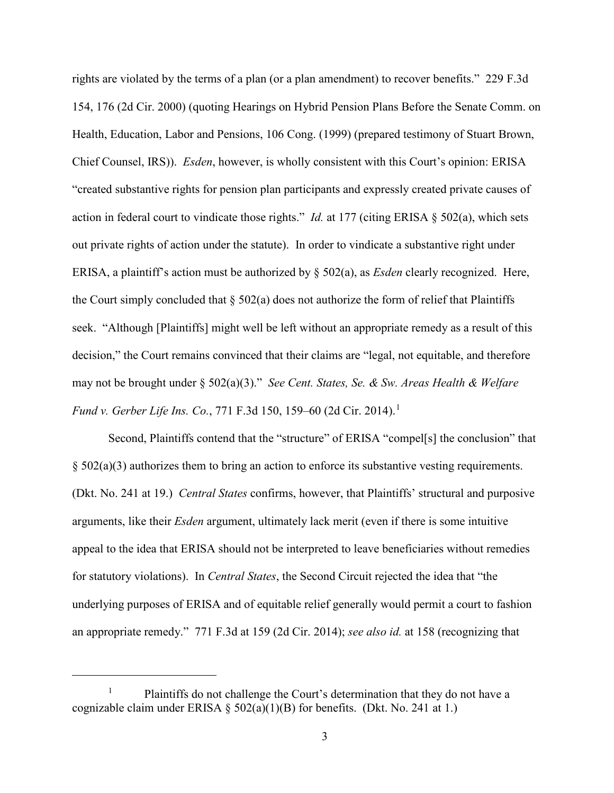rights are violated by the terms of a plan (or a plan amendment) to recover benefits." 229 F.3d 154, 176 (2d Cir. 2000) (quoting Hearings on Hybrid Pension Plans Before the Senate Comm. on Health, Education, Labor and Pensions, 106 Cong. (1999) (prepared testimony of Stuart Brown, Chief Counsel, IRS)). *Esden*, however, is wholly consistent with this Court's opinion: ERISA "created substantive rights for pension plan participants and expressly created private causes of action in federal court to vindicate those rights." *Id.* at 177 (citing ERISA § 502(a), which sets out private rights of action under the statute). In order to vindicate a substantive right under ERISA, a plaintiff's action must be authorized by § 502(a), as *Esden* clearly recognized. Here, the Court simply concluded that  $\S$  502(a) does not authorize the form of relief that Plaintiffs seek. "Although [Plaintiffs] might well be left without an appropriate remedy as a result of this decision," the Court remains convinced that their claims are "legal, not equitable, and therefore may not be brought under § 502(a)(3)." *See Cent. States, Se. & Sw. Areas Health & Welfare Fund v. Gerber Life Ins. Co., 771 F.3d 150, 159–60 (2d Cir. 2014).*<sup>1</sup>

Second, Plaintiffs contend that the "structure" of ERISA "compel[s] the conclusion" that  $\S$  502(a)(3) authorizes them to bring an action to enforce its substantive vesting requirements. (Dkt. No. 241 at 19.) *Central States* confirms, however, that Plaintiffs' structural and purposive arguments, like their *Esden* argument, ultimately lack merit (even if there is some intuitive appeal to the idea that ERISA should not be interpreted to leave beneficiaries without remedies for statutory violations). In *Central States*, the Second Circuit rejected the idea that "the underlying purposes of ERISA and of equitable relief generally would permit a court to fashion an appropriate remedy." 771 F.3d at 159 (2d Cir. 2014); *see also id.* at 158 (recognizing that

 $\overline{a}$ 

<sup>1</sup> Plaintiffs do not challenge the Court's determination that they do not have a cognizable claim under ERISA §  $502(a)(1)(B)$  for benefits. (Dkt. No. 241 at 1.)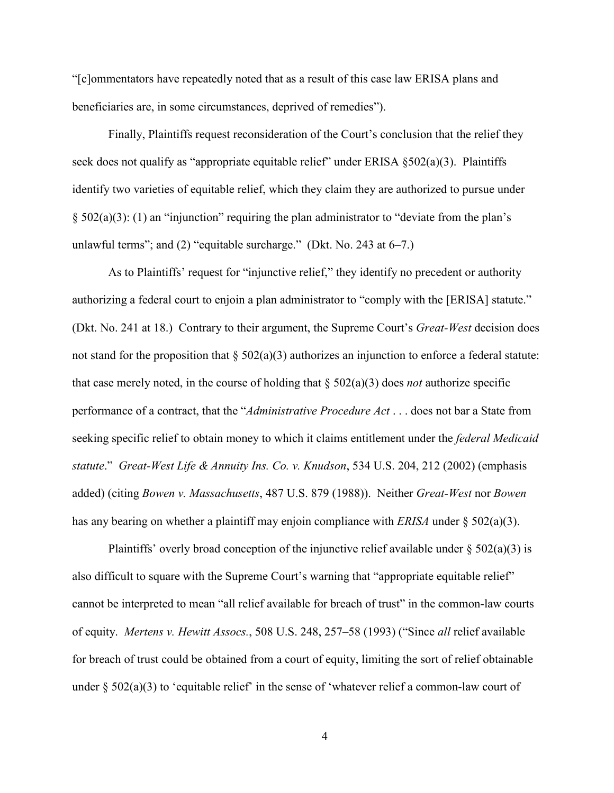"[c]ommentators have repeatedly noted that as a result of this case law ERISA plans and beneficiaries are, in some circumstances, deprived of remedies").

Finally, Plaintiffs request reconsideration of the Court's conclusion that the relief they seek does not qualify as "appropriate equitable relief" under ERISA  $\S502(a)(3)$ . Plaintiffs identify two varieties of equitable relief, which they claim they are authorized to pursue under  $\S$  502(a)(3): (1) an "injunction" requiring the plan administrator to "deviate from the plan's unlawful terms"; and (2) "equitable surcharge." (Dkt. No. 243 at 6–7.)

As to Plaintiffs' request for "injunctive relief," they identify no precedent or authority authorizing a federal court to enjoin a plan administrator to "comply with the [ERISA] statute." (Dkt. No. 241 at 18.) Contrary to their argument, the Supreme Court's *Great-West* decision does not stand for the proposition that  $\S 502(a)(3)$  authorizes an injunction to enforce a federal statute: that case merely noted, in the course of holding that § 502(a)(3) does *not* authorize specific performance of a contract, that the "*Administrative Procedure Act* . . . does not bar a State from seeking specific relief to obtain money to which it claims entitlement under the *federal Medicaid statute*." *Great-West Life & Annuity Ins. Co. v. Knudson*, 534 U.S. 204, 212 (2002) (emphasis added) (citing *Bowen v. Massachusetts*, 487 U.S. 879 (1988)). Neither *Great-West* nor *Bowen*  has any bearing on whether a plaintiff may enjoin compliance with *ERISA* under § 502(a)(3).

Plaintiffs' overly broad conception of the injunctive relief available under  $\S 502(a)(3)$  is also difficult to square with the Supreme Court's warning that "appropriate equitable relief" cannot be interpreted to mean "all relief available for breach of trust" in the common-law courts of equity. *Mertens v. Hewitt Assocs.*, 508 U.S. 248, 257–58 (1993) ("Since *all* relief available for breach of trust could be obtained from a court of equity, limiting the sort of relief obtainable under  $\S$  502(a)(3) to 'equitable relief' in the sense of 'whatever relief a common-law court of

4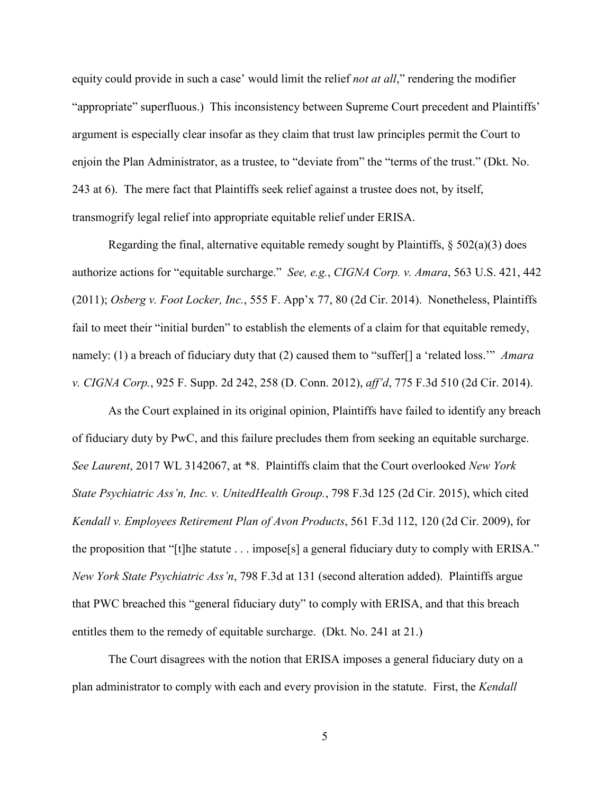equity could provide in such a case' would limit the relief *not at all*," rendering the modifier "appropriate" superfluous.) This inconsistency between Supreme Court precedent and Plaintiffs' argument is especially clear insofar as they claim that trust law principles permit the Court to enjoin the Plan Administrator, as a trustee, to "deviate from" the "terms of the trust." (Dkt. No. 243 at 6). The mere fact that Plaintiffs seek relief against a trustee does not, by itself, transmogrify legal relief into appropriate equitable relief under ERISA.

Regarding the final, alternative equitable remedy sought by Plaintiffs,  $\S 502(a)(3)$  does authorize actions for "equitable surcharge." *See, e.g.*, *CIGNA Corp. v. Amara*, 563 U.S. 421, 442 (2011); *Osberg v. Foot Locker, Inc.*, 555 F. App'x 77, 80 (2d Cir. 2014). Nonetheless, Plaintiffs fail to meet their "initial burden" to establish the elements of a claim for that equitable remedy, namely: (1) a breach of fiduciary duty that (2) caused them to "suffer[] a 'related loss.'" *Amara v. CIGNA Corp.*, 925 F. Supp. 2d 242, 258 (D. Conn. 2012), *aff'd*, 775 F.3d 510 (2d Cir. 2014).

As the Court explained in its original opinion, Plaintiffs have failed to identify any breach of fiduciary duty by PwC, and this failure precludes them from seeking an equitable surcharge. *See Laurent*, 2017 WL 3142067, at \*8. Plaintiffs claim that the Court overlooked *New York State Psychiatric Ass'n, Inc. v. UnitedHealth Group.*, 798 F.3d 125 (2d Cir. 2015), which cited *Kendall v. Employees Retirement Plan of Avon Products*, 561 F.3d 112, 120 (2d Cir. 2009), for the proposition that "[t]he statute . . . impose[s] a general fiduciary duty to comply with ERISA." *New York State Psychiatric Ass'n*, 798 F.3d at 131 (second alteration added). Plaintiffs argue that PWC breached this "general fiduciary duty" to comply with ERISA, and that this breach entitles them to the remedy of equitable surcharge. (Dkt. No. 241 at 21.)

The Court disagrees with the notion that ERISA imposes a general fiduciary duty on a plan administrator to comply with each and every provision in the statute. First, the *Kendall*

5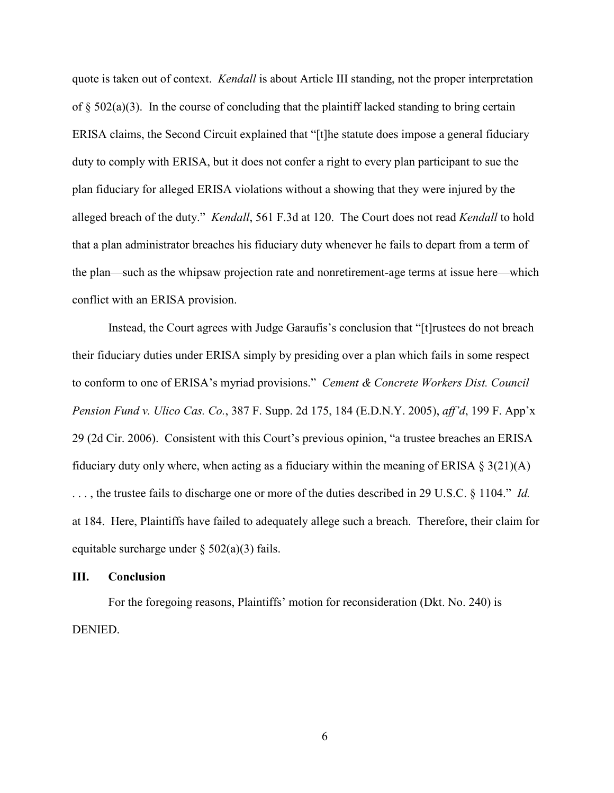quote is taken out of context. *Kendall* is about Article III standing, not the proper interpretation of  $\S$  502(a)(3). In the course of concluding that the plaintiff lacked standing to bring certain ERISA claims, the Second Circuit explained that "[t]he statute does impose a general fiduciary duty to comply with ERISA, but it does not confer a right to every plan participant to sue the plan fiduciary for alleged ERISA violations without a showing that they were injured by the alleged breach of the duty." *Kendall*, 561 F.3d at 120. The Court does not read *Kendall* to hold that a plan administrator breaches his fiduciary duty whenever he fails to depart from a term of the plan—such as the whipsaw projection rate and nonretirement-age terms at issue here—which conflict with an ERISA provision.

Instead, the Court agrees with Judge Garaufis's conclusion that "[t]rustees do not breach their fiduciary duties under ERISA simply by presiding over a plan which fails in some respect to conform to one of ERISA's myriad provisions." *Cement & Concrete Workers Dist. Council Pension Fund v. Ulico Cas. Co.*, 387 F. Supp. 2d 175, 184 (E.D.N.Y. 2005), *aff'd*, 199 F. App'x 29 (2d Cir. 2006). Consistent with this Court's previous opinion, "a trustee breaches an ERISA fiduciary duty only where, when acting as a fiduciary within the meaning of ERISA  $\S 3(21)(A)$ . . . , the trustee fails to discharge one or more of the duties described in 29 U.S.C. § 1104." *Id.* at 184. Here, Plaintiffs have failed to adequately allege such a breach. Therefore, their claim for equitable surcharge under  $\S$  502(a)(3) fails.

## **III. Conclusion**

For the foregoing reasons, Plaintiffs' motion for reconsideration (Dkt. No. 240) is **DENIED.**